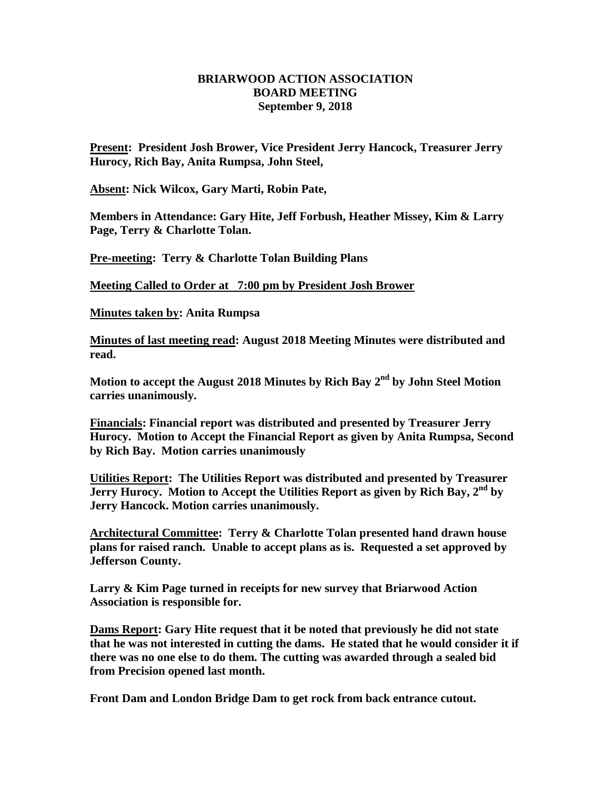## **BRIARWOOD ACTION ASSOCIATION BOARD MEETING September 9, 2018**

**Present: President Josh Brower, Vice President Jerry Hancock, Treasurer Jerry Hurocy, Rich Bay, Anita Rumpsa, John Steel,** 

**Absent: Nick Wilcox, Gary Marti, Robin Pate,**

**Members in Attendance: Gary Hite, Jeff Forbush, Heather Missey, Kim & Larry Page, Terry & Charlotte Tolan.**

**Pre-meeting: Terry & Charlotte Tolan Building Plans**

**Meeting Called to Order at 7:00 pm by President Josh Brower**

**Minutes taken by: Anita Rumpsa**

**Minutes of last meeting read: August 2018 Meeting Minutes were distributed and read.** 

**Motion to accept the August 2018 Minutes by Rich Bay 2 nd by John Steel Motion carries unanimously.**

**Financials: Financial report was distributed and presented by Treasurer Jerry Hurocy. Motion to Accept the Financial Report as given by Anita Rumpsa, Second by Rich Bay. Motion carries unanimously** 

**Utilities Report: The Utilities Report was distributed and presented by Treasurer Jerry Hurocy. Motion to Accept the Utilities Report as given by Rich Bay, 2nd by Jerry Hancock. Motion carries unanimously.**

**Architectural Committee: Terry & Charlotte Tolan presented hand drawn house plans for raised ranch. Unable to accept plans as is. Requested a set approved by Jefferson County.** 

**Larry & Kim Page turned in receipts for new survey that Briarwood Action Association is responsible for.** 

**Dams Report: Gary Hite request that it be noted that previously he did not state that he was not interested in cutting the dams. He stated that he would consider it if there was no one else to do them. The cutting was awarded through a sealed bid from Precision opened last month.**

**Front Dam and London Bridge Dam to get rock from back entrance cutout.**